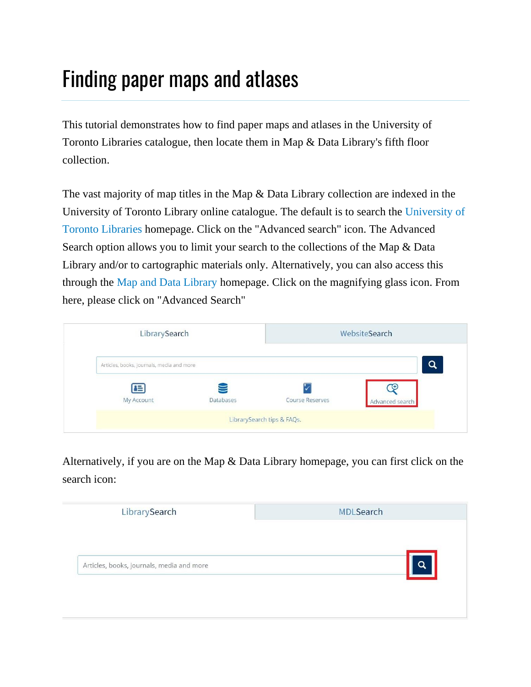## Finding paper maps and atlases

This tutorial demonstrates how to find paper maps and atlases in the University of Toronto Libraries catalogue, then locate them in Map & Data Library's fifth floor collection.

The vast majority of map titles in the Map & Data Library collection are indexed in the University of Toronto Library online catalogue. The default is to search the [University of](https://library.utoronto.ca/)  [Toronto Libraries](https://library.utoronto.ca/) homepage. Click on the "Advanced search" icon. The Advanced Search option allows you to limit your search to the collections of the Map & Data Library and/or to cartographic materials only. Alternatively, you can also access this through the [Map and Data Library](https://mdl.library.utoronto.ca/) homepage. Click on the magnifying glass icon. From here, please click on "Advanced Search"

| LibrarySearch                             |           | WebsiteSearch              |                       |  |
|-------------------------------------------|-----------|----------------------------|-----------------------|--|
| Articles, books, journals, media and more |           |                            | Q                     |  |
| 国<br>My Account                           | Databases | Course Reserves            | 40<br>Advanced search |  |
|                                           |           | LibrarySearch tips & FAQs. |                       |  |

Alternatively, if you are on the Map & Data Library homepage, you can first click on the search icon:

| LibrarySearch                             | <b>MDLSearch</b> |
|-------------------------------------------|------------------|
| Articles, books, journals, media and more | O                |
|                                           |                  |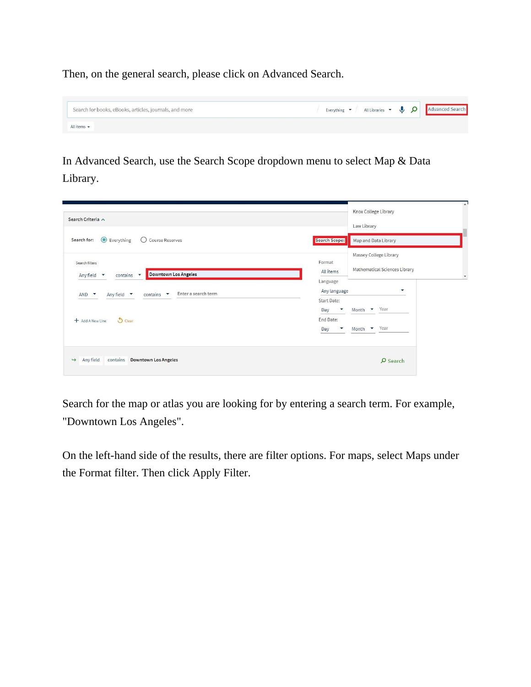Then, on the general search, please click on Advanced Search.

| Search for books, eBooks, articles, journals, and more |  |  | Everything $\bullet$ All Libraries $\bullet$ <b>Q</b> $\bullet$ Advanced Search |
|--------------------------------------------------------|--|--|---------------------------------------------------------------------------------|
| All items $\blacktriangledown$                         |  |  |                                                                                 |

In Advanced Search, use the Search Scope dropdown menu to select Map & Data Library.

| Search Criteria ^                                                                                         | Knox College Library<br>Law Library                                                       | $\sim$ |
|-----------------------------------------------------------------------------------------------------------|-------------------------------------------------------------------------------------------|--------|
| Everything<br>◯ Course Reserves<br>Search for:                                                            | Search Scope:<br>Map and Data Library                                                     |        |
| Search filters<br>Downtown Los Angeles<br>Any field $\blacktriangledown$<br>contains $\blacktriangledown$ | Massey College Library<br>Format<br>Mathematical Sciences Library<br>All items            |        |
| Enter a search term<br>Any field $\blacktriangledown$<br>$contains \rightarrow$<br>$AND$ $\rightarrow$    | Language<br>٠<br>Any language<br>Start Date:<br>Month Year<br>Day<br>$\blacktriangledown$ |        |
| $O$ Clear<br>+ Add A New Line                                                                             | End Date:<br>Year<br>$\overline{\phantom{a}}$<br>Month<br>Day                             |        |
| Any field<br>contains<br><b>Downtown Los Angeles</b><br>$\rightarrow$                                     | $Q$ Search                                                                                |        |

Search for the map or atlas you are looking for by entering a search term. For example, "Downtown Los Angeles".

On the left-hand side of the results, there are filter options. For maps, select Maps under the Format filter. Then click Apply Filter.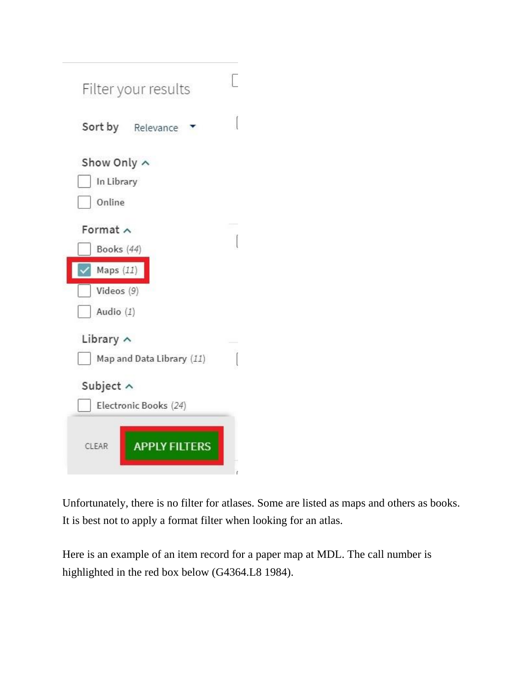| Filter your results       | 1 |
|---------------------------|---|
| Sort by Relevance         |   |
| Show Only ^               |   |
| In Library                |   |
| Online                    |   |
| Format $\wedge$           |   |
| Books (44)                |   |
| Maps $(11)$               |   |
| Videos (9)                |   |
| Audio $(1)$               |   |
| Library $\wedge$          |   |
| Map and Data Library (11) |   |
| Subject ^                 |   |
| Electronic Books (24)     |   |
| <b>APPLY FILTERS</b>      |   |

Unfortunately, there is no filter for atlases. Some are listed as maps and others as books. It is best not to apply a format filter when looking for an atlas.

Here is an example of an item record for a paper map at MDL. The call number is highlighted in the red box below (G4364.L8 1984).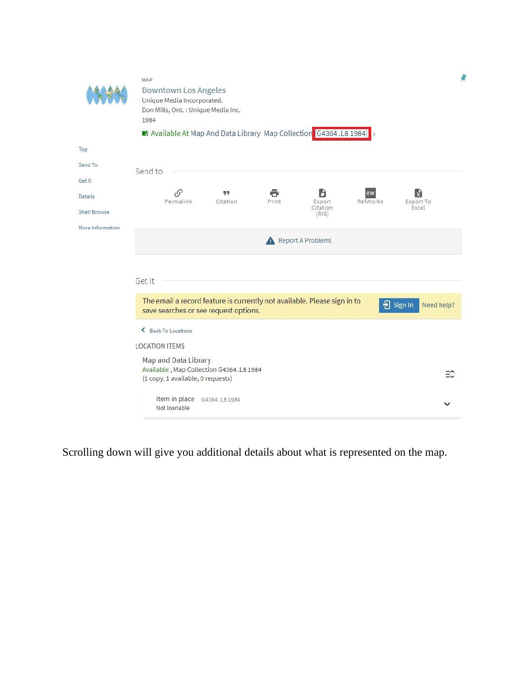|                     | MAP<br>Downtown Los Angeles<br>Unique Media Incorporated.                                                                                                |                    |
|---------------------|----------------------------------------------------------------------------------------------------------------------------------------------------------|--------------------|
|                     | Don Mills, Ont. : Unique Media Inc.<br>1984                                                                                                              |                    |
|                     | Available At Map And Data Library Map Collection (G4364.L8 1984)                                                                                         |                    |
| Top                 |                                                                                                                                                          |                    |
| Send To             | Send to                                                                                                                                                  |                    |
| Get It              |                                                                                                                                                          |                    |
| Details             | $\mathcal{O}$<br>99<br>ĥ<br>X<br><b>RW</b><br>Permalink<br>Print<br>Export<br>Citation<br>RefWorks<br>Export To                                          |                    |
| <b>Shelf Browse</b> | Citation<br>Excel<br>(RIS)                                                                                                                               |                    |
| More Information    | Report A Problem!                                                                                                                                        |                    |
|                     | Get It                                                                                                                                                   |                    |
|                     | The email a record feature is currently not available. Please sign in to<br>$\frac{1}{2}$ Sign In<br>Need help?<br>save searches or see request options. |                    |
|                     | Back To Locations                                                                                                                                        |                    |
|                     | <b>LOCATION ITEMS</b>                                                                                                                                    |                    |
|                     | Map and Data Library<br>Available, Map Collection G4364 .L8 1984<br>(1 copy, 1 available, 0 requests)                                                    | $\equiv$ $\hat{z}$ |
|                     | Item in place G4364.L8 1984<br>Not loanable                                                                                                              |                    |

Scrolling down will give you additional details about what is represented on the map.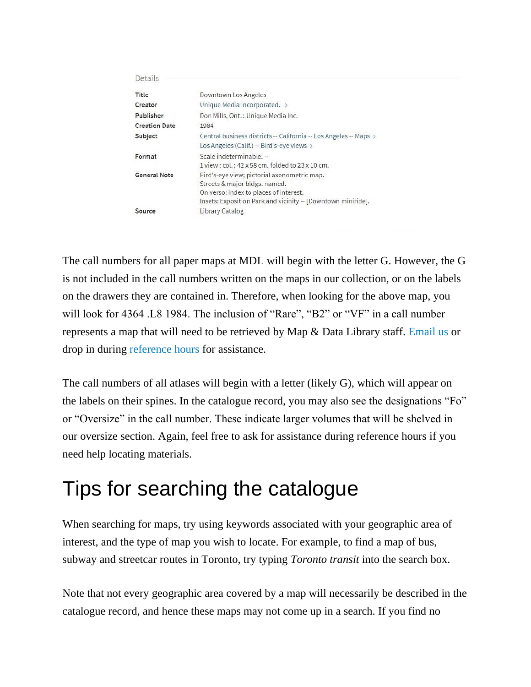| Details              |                                                                                                                                                                                        |
|----------------------|----------------------------------------------------------------------------------------------------------------------------------------------------------------------------------------|
| Title                | Downtown Los Angeles                                                                                                                                                                   |
| Creator              | Unique Media Incorporated. >                                                                                                                                                           |
| Publisher            | Don Mills, Ont.: Unique Media Inc.                                                                                                                                                     |
| <b>Creation Date</b> | 1984                                                                                                                                                                                   |
| Subject              | Central business districts -- California -- Los Angeles -- Maps ><br>Los Angeles (Calif.) -- Bird's-eye views >                                                                        |
| Format               | Scale indeterminable. --<br>1 view : col. ; 42 x 58 cm. folded to 23 x 10 cm.                                                                                                          |
| <b>General Note</b>  | Bird's-eye view; pictorial axonometric map.<br>Streets & major bldgs, named.<br>On verso: index to places of interest.<br>Insets: Exposition Park and vicinity -- [Downtown miniride]. |
| Source               | Library Catalog                                                                                                                                                                        |

The call numbers for all paper maps at MDL will begin with the letter G. However, the G is not included in the call numbers written on the maps in our collection, or on the labels on the drawers they are contained in. Therefore, when looking for the above map, you will look for 4364 .L8 1984. The inclusion of "Rare", "B2" or "VF" in a call number represents a map that will need to be retrieved by Map & Data Library staff. [Email us](https://mdl.library.utoronto.ca/about/contact-us) or drop in during [reference hours](https://mdl.library.utoronto.ca/about/hours) for assistance.

The call numbers of all atlases will begin with a letter (likely G), which will appear on the labels on their spines. In the catalogue record, you may also see the designations "Fo" or "Oversize" in the call number. These indicate larger volumes that will be shelved in our oversize section. Again, feel free to ask for assistance during reference hours if you need help locating materials.

## Tips for searching the catalogue

When searching for maps, try using keywords associated with your geographic area of interest, and the type of map you wish to locate. For example, to find a map of bus, subway and streetcar routes in Toronto, try typing *Toronto transit* into the search box.

Note that not every geographic area covered by a map will necessarily be described in the catalogue record, and hence these maps may not come up in a search. If you find no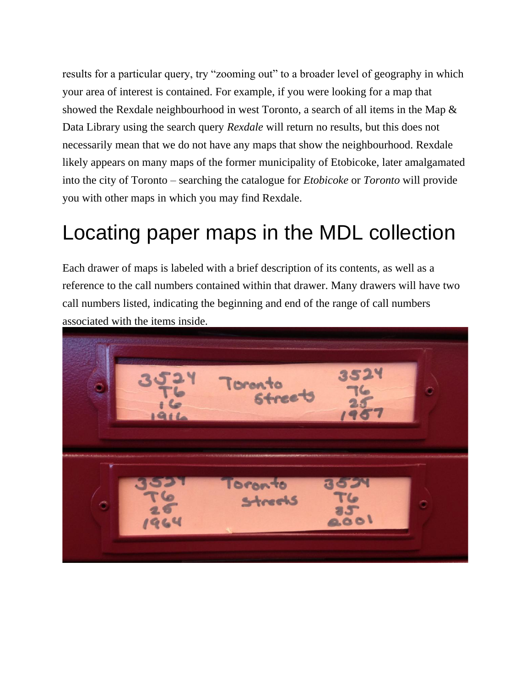results for a particular query, try "zooming out" to a broader level of geography in which your area of interest is contained. For example, if you were looking for a map that showed the Rexdale neighbourhood in west Toronto, a search of all items in the Map & Data Library using the search query *Rexdale* will return no results, but this does not necessarily mean that we do not have any maps that show the neighbourhood. Rexdale likely appears on many maps of the former municipality of Etobicoke, later amalgamated into the city of Toronto – searching the catalogue for *Etobicoke* or *Toronto* will provide you with other maps in which you may find Rexdale.

## Locating paper maps in the MDL collection

Each drawer of maps is labeled with a brief description of its contents, as well as a reference to the call numbers contained within that drawer. Many drawers will have two call numbers listed, indicating the beginning and end of the range of call numbers associated with the items inside.

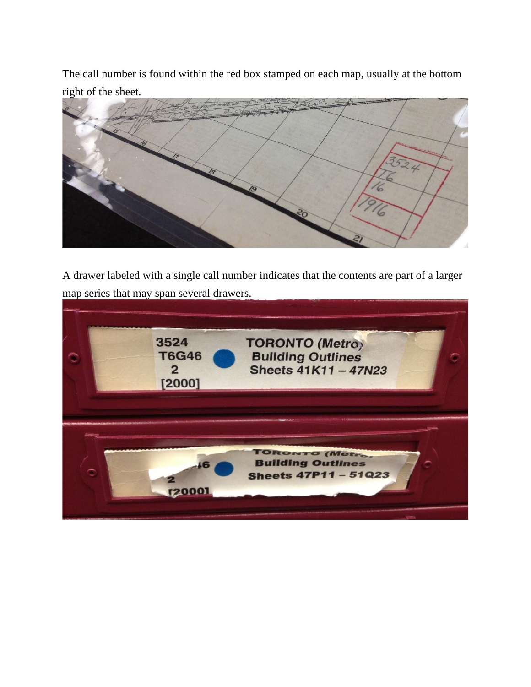The call number is found within the red box stamped on each map, usually at the bottom right of the sheet.



A drawer labeled with a single call number indicates that the contents are part of a larger map series that may span several drawers.